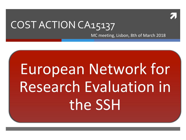

#### COST ACTION CA15137

MC meeting, Lisbon, 8th of March 2018

# European Network for Research Evaluation in the SSH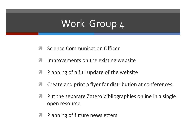### Work Group 4

- **Science Communication Officer**  $\overline{\phantom{a}}$
- Improvements on the existing website  $\overline{\mathcal{L}}$
- Planning of a full update of the website 7
- Create and print a flyer for distribution at conferences.  $\overline{\mathcal{L}}$
- Put the separate Zotero bibliographies online in a single  $\overline{\phantom{a}}$ open resource.
- Planning of future newsletters  $\overline{\phantom{a}}$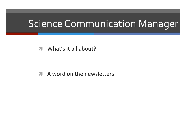#### Science Communication Manager

 $\sqrt{ }$  What's it all about?

*A* A word on the newsletters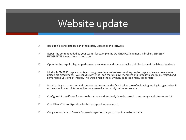#### Website update

- $\lambda$  Back up files and database and then safely update all the software
- *I* Repair the content added by your team for example the DOWNLOADS submenu is broken, ENRESSH NEWSLETTERS menu item has no icon
- $\mathcal I$  Optimize the page for higher performance minimize and compress all script files to meet the latest standards
- $\mathcal N$  Modify MEMBERS page your team has grown since we've been working on the page and we can see you're upload big sized images. We could rewrite the loop that displays members and force it to use small, resized and compressed versions of images. This would make the MEMBERS page load many times faster.
- $\mathcal I$  Install a plugin that resizes and compresses images on the fly it takes care of uploading too big images by itself. All newly uploaded pictures will be compressed automaticly on the server side.
- *I* Configure SSL certificate for secure https connection lately Google started to encourage websites to use SSL
- $\lambda$  CloudFlare CDN configuration for further speed improvement
- *I* Google Analytics and Search Console integration for you to monitor website traffic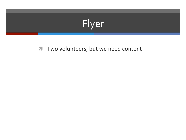## Flyer

**7** Two volunteers, but we need content!